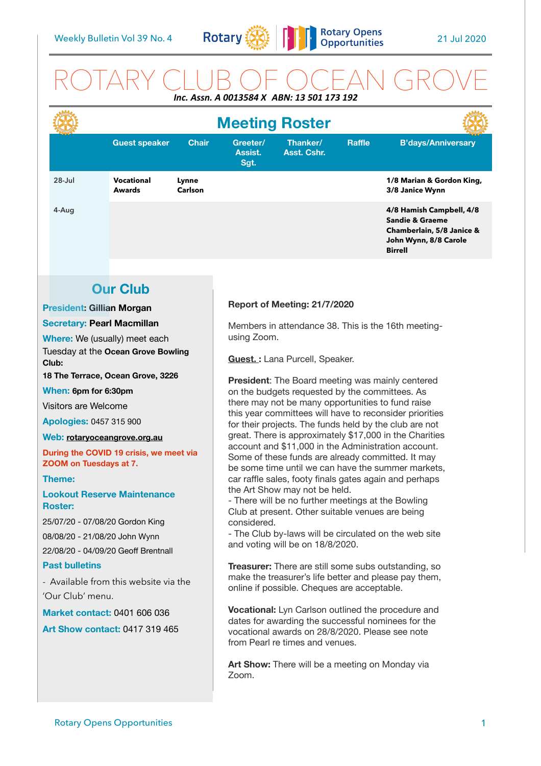

## ROTARY CLUB OF OCEAN GROVE *Inc. Assn. A 0013584 X ABN: 13 501 173 192*

|            | <b>Meeting Roster</b>              |                  |                             |                         |               |                                                                                                                                |
|------------|------------------------------------|------------------|-----------------------------|-------------------------|---------------|--------------------------------------------------------------------------------------------------------------------------------|
|            | <b>Guest speaker</b>               | <b>Chair</b>     | Greeter/<br>Assist.<br>Sgt. | Thanker/<br>Asst. Cshr. | <b>Raffle</b> | <b>B'days/Anniversary</b>                                                                                                      |
| $28 -$ Jul | <b>Vocational</b><br><b>Awards</b> | Lynne<br>Carlson |                             |                         |               | 1/8 Marian & Gordon King,<br>3/8 Janice Wynn                                                                                   |
| 4-Aug      |                                    |                  |                             |                         |               | 4/8 Hamish Campbell, 4/8<br><b>Sandie &amp; Graeme</b><br>Chamberlain, 5/8 Janice &<br>John Wynn, 8/8 Carole<br><b>Birrell</b> |

## **Our Club**

## **President: Gillian Morgan**

#### **Secretary: Pearl Macmillan**

**Where:** We (usually) meet each Tuesday at the **Ocean Grove Bowling Club:** 

**18 The Terrace, Ocean Grove, 3226** 

### **When: 6pm for 6:30pm**

Visitors are Welcome

**Apologies:** 0457 315 900

#### **Web: [rotaryoceangrove.org.au](http://rotaryoceangrove.org.au)**

**During the COVID 19 crisis, we meet via ZOOM on Tuesdays at 7.**

## **Theme:**

## **Lookout Reserve Maintenance Roster:**

25/07/20 - 07/08/20 Gordon King 08/08/20 - 21/08/20 John Wynn

22/08/20 - 04/09/20 Geoff Brentnall

## **Past bulletins**

- Available from this website via the 'Our Club' menu.

**Market contact:** 0401 606 036

**Art Show contact:** 0417 319 465

## **Report of Meeting: 21/7/2020**

Members in attendance 38. This is the 16th meetingusing Zoom.

**Guest. :** Lana Purcell, Speaker.

**President**: The Board meeting was mainly centered on the budgets requested by the committees. As there may not be many opportunities to fund raise this year committees will have to reconsider priorities for their projects. The funds held by the club are not great. There is approximately \$17,000 in the Charities account and \$11,000 in the Administration account. Some of these funds are already committed. It may be some time until we can have the summer markets, car raffle sales, footy finals gates again and perhaps the Art Show may not be held.

- There will be no further meetings at the Bowling Club at present. Other suitable venues are being considered.

- The Club by-laws will be circulated on the web site and voting will be on 18/8/2020.

**Treasurer:** There are still some subs outstanding, so make the treasurer's life better and please pay them, online if possible. Cheques are acceptable.

**Vocational:** Lyn Carlson outlined the procedure and dates for awarding the successful nominees for the vocational awards on 28/8/2020. Please see note from Pearl re times and venues.

**Art Show:** There will be a meeting on Monday via Zoom.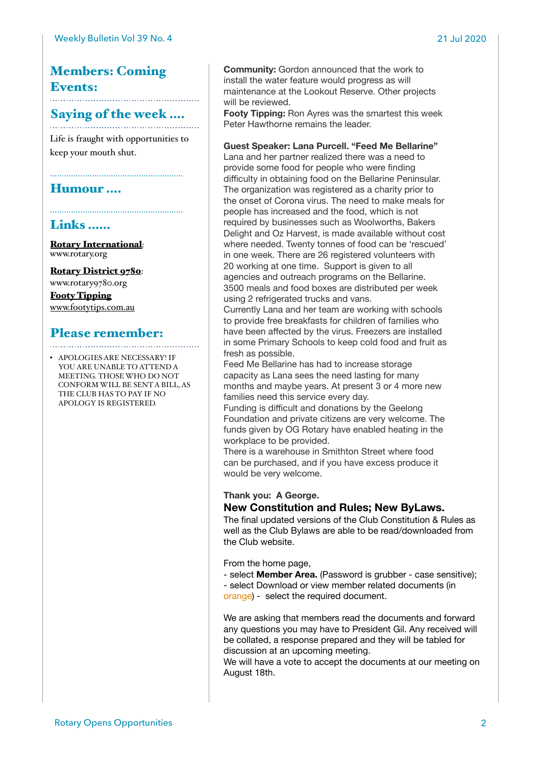## Members: Coming Events:

# Saying of the week ....

Life is fraught with opportunities to keep your mouth shut.

…………………………………………………

## Humour ….

## Links ……

[Rotary International](https://www.rotary.org): [www.rotary.org](http://www.rotary.org)

[Rotary District 9780](http://rotary9780.org): [www.rotary9780.org](http://www.rotary9780.org) [Footy Tipping](http://www.footytips.com.au) [www.footytips.com.au](http://www.footytips.com.au)

## Please remember:

• APOLOGIES ARE NECESSARY! IF YOU ARE UNABLE TO ATTEND A MEETING. THOSE WHO DO NOT CONFORM WILL BE SENT A BILL, AS THE CLUB HAS TO PAY IF NO APOLOGY IS REGISTERED.

**Community:** Gordon announced that the work to install the water feature would progress as will maintenance at the Lookout Reserve. Other projects will be reviewed.

**Footy Tipping:** Ron Ayres was the smartest this week Peter Hawthorne remains the leader.

## **Guest Speaker: Lana Purcell. "Feed Me Bellarine"**

Lana and her partner realized there was a need to provide some food for people who were finding difficulty in obtaining food on the Bellarine Peninsular. The organization was registered as a charity prior to the onset of Corona virus. The need to make meals for people has increased and the food, which is not required by businesses such as Woolworths, Bakers Delight and Oz Harvest, is made available without cost where needed. Twenty tonnes of food can be 'rescued' in one week. There are 26 registered volunteers with 20 working at one time. Support is given to all agencies and outreach programs on the Bellarine. 3500 meals and food boxes are distributed per week using 2 refrigerated trucks and vans.

Currently Lana and her team are working with schools to provide free breakfasts for children of families who have been affected by the virus. Freezers are installed in some Primary Schools to keep cold food and fruit as fresh as possible.

Feed Me Bellarine has had to increase storage capacity as Lana sees the need lasting for many months and maybe years. At present 3 or 4 more new families need this service every day.

Funding is difficult and donations by the Geelong Foundation and private citizens are very welcome. The funds given by OG Rotary have enabled heating in the workplace to be provided.

There is a warehouse in Smithton Street where food can be purchased, and if you have excess produce it would be very welcome.

## **Thank you: A George.**

## **New Constitution and Rules; New ByLaws.**

The final updated versions of the Club Constitution & Rules as well as the Club Bylaws are able to be read/downloaded from the Club website.

From the home page,

- select **Member Area.** (Password is grubber - case sensitive); - select Download or view member related documents (in

orange) - select the required document.

We are asking that members read the documents and forward any questions you may have to President Gil. Any received will be collated, a response prepared and they will be tabled for discussion at an upcoming meeting.

We will have a vote to accept the documents at our meeting on August 18th.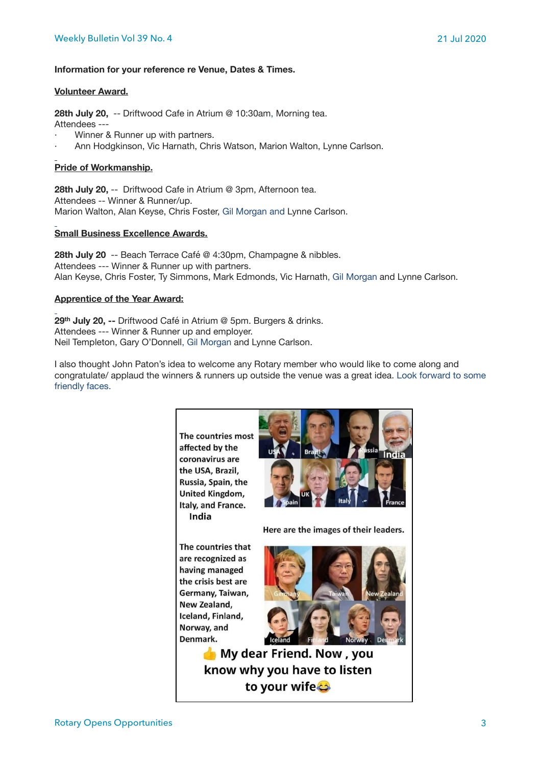### **Information for your reference re Venue, Dates & Times.**

#### **Volunteer Award.**

**28th July 20,** -- Driftwood Cafe in Atrium @ 10:30am, Morning tea.

- Attendees ---
- Winner & Runner up with partners.
- Ann Hodgkinson, Vic Harnath, Chris Watson, Marion Walton, Lynne Carlson.

## **Pride of Workmanship.**

**28th July 20,** -- Driftwood Cafe in Atrium @ 3pm, Afternoon tea. Attendees -- Winner & Runner/up. Marion Walton, Alan Keyse, Chris Foster, Gil Morgan and Lynne Carlson.

### **Small Business Excellence Awards.**

**28th July 20** -- Beach Terrace Café @ 4:30pm, Champagne & nibbles. Attendees --- Winner & Runner up with partners. Alan Keyse, Chris Foster, Ty Simmons, Mark Edmonds, Vic Harnath, Gil Morgan and Lynne Carlson.

### **Apprentice of the Year Award:**

**29th July 20, --** Driftwood Café in Atrium @ 5pm. Burgers & drinks. Attendees --- Winner & Runner up and employer. Neil Templeton, Gary O'Donnell, Gil Morgan and Lynne Carlson.

I also thought John Paton's idea to welcome any Rotary member who would like to come along and congratulate/ applaud the winners & runners up outside the venue was a great idea. Look forward to some friendly faces.